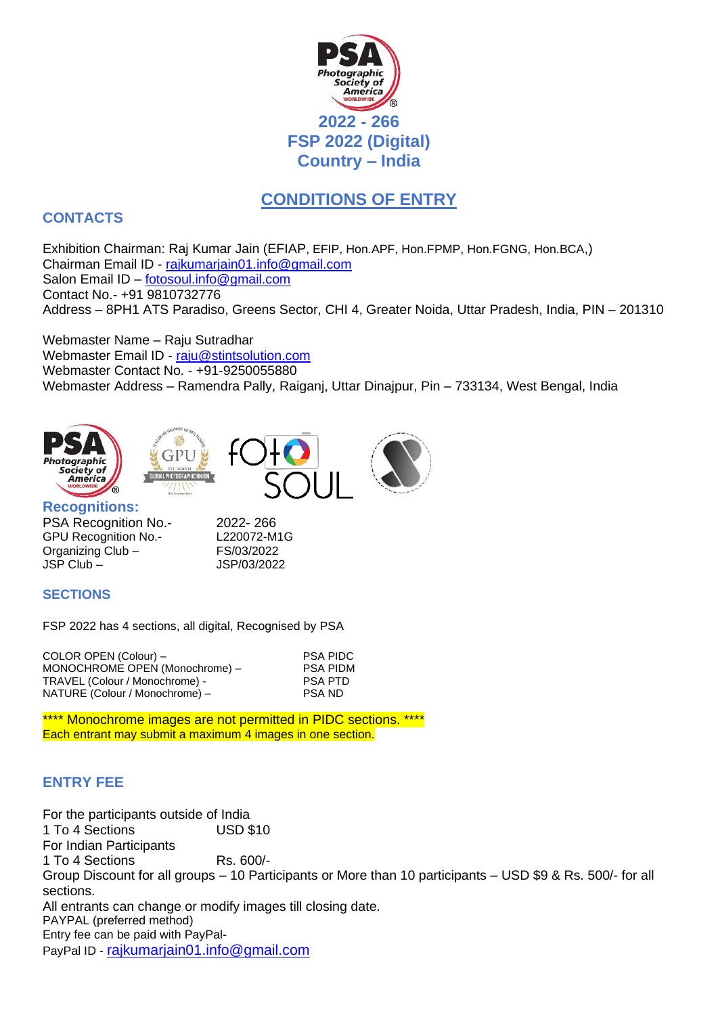

# **CONDITIONS OF ENTRY**

# **CONTACTS**

Exhibition Chairman: Raj Kumar Jain (EFIAP, EFIP, Hon.APF, Hon.FPMP, Hon.FGNG, Hon.BCA,) Chairman Email ID - [rajkumarjain01.info@gmail.com](mailto:rajkumarjain01.info@gmail.com) Salon Email ID – [fotosoul.info@gmail.com](mailto:fotosoul.info@gmail.com) Contact No.- +91 9810732776 Address – 8PH1 ATS Paradiso, Greens Sector, CHI 4, Greater Noida, Uttar Pradesh, India, PIN – 201310

Webmaster Name – Raju Sutradhar Webmaster Email ID - [raju@stintsolution.com](mailto:raju@stintsolution.com) Webmaster Contact No. - +91-9250055880 Webmaster Address – Ramendra Pally, Raiganj, Uttar Dinajpur, Pin – 733134, West Bengal, India



PSA Recognition No.- 2022-266 GPU Recognition No.- L220072-M1G Organizing Club – FS/03/2022 JSP Club – JSP/03/2022

#### **SECTIONS**

FSP 2022 has 4 sections, all digital, Recognised by PSA

| COLOR OPEN (Colour) -          | <b>PSA PIDC</b> |
|--------------------------------|-----------------|
| MONOCHROME OPEN (Monochrome) - | <b>PSA PIDM</b> |
| TRAVEL (Colour / Monochrome) - | <b>PSA PTD</b>  |
| NATURE (Colour / Monochrome) - | <b>PSA ND</b>   |

\*\*\*\* Monochrome images are not permitted in PIDC sections. \*\*\*\* Each entrant may submit a maximum 4 images in one section.

# **ENTRY FEE**

For the participants outside of India 1 To 4 Sections USD \$10 For Indian Participants 1 To 4 Sections Rs. 600/-Group Discount for all groups – 10 Participants or More than 10 participants – USD \$9 & Rs. 500/- for all sections. All entrants can change or modify images till closing date. PAYPAL (preferred method) Entry fee can be paid with PayPal-PayPal ID - [rajkumarjain01.info@gmail.com](mailto:rajkumarjain01.info@gmail.com)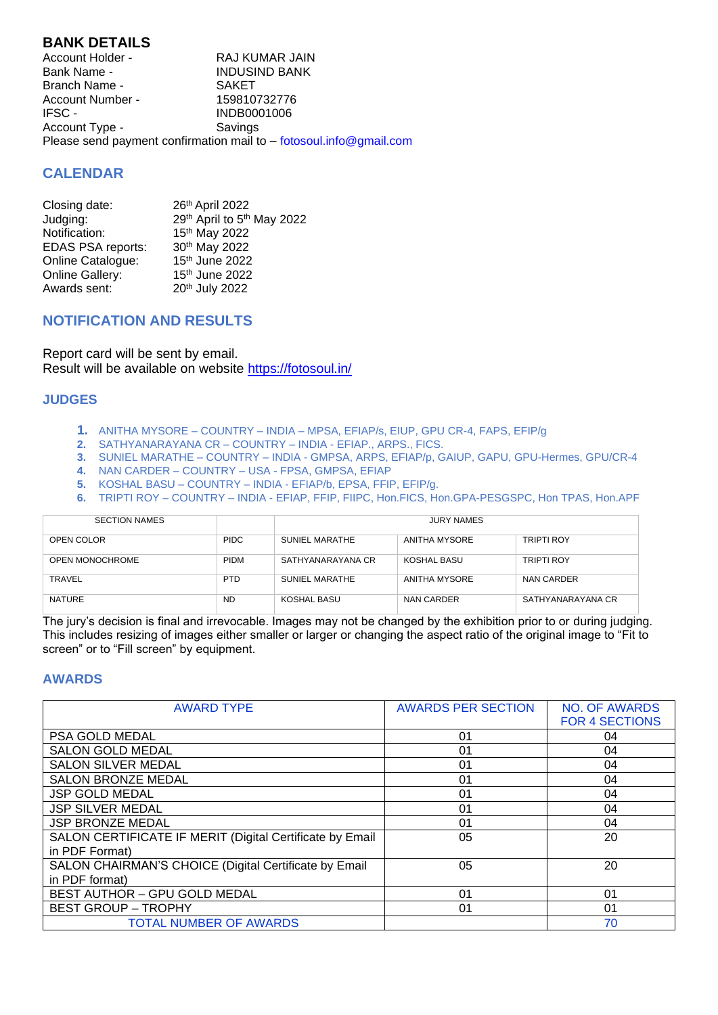### **BANK DETAILS**

Account Holder - RAJ KUMAR JAIN<br>Bank Name - RAJ KUMAR JAIN INDUSIND BANK<br>SAKET Branch Name -Account Number - 159810732776<br>IFSC - 15980001006 INDB0001006 Account Type - Savings Please send payment confirmation mail to – fotosoul.info@gmail.com

# **CALENDAR**

| Closing date:            | 26th April 2022            |
|--------------------------|----------------------------|
| Judging:                 | 29th April to 5th May 2022 |
| Notification:            | 15th May 2022              |
| <b>EDAS PSA reports:</b> | 30th May 2022              |
| Online Catalogue:        | 15th June 2022             |
| Online Gallery:          | 15th June 2022             |
| Awards sent:             | 20th July 2022             |

#### **NOTIFICATION AND RESULTS**

Report card will be sent by email. Result will be available on website<https://fotosoul.in/>

#### **JUDGES**

- **1.** ANITHA MYSORE COUNTRY INDIA MPSA, EFIAP/s, EIUP, GPU CR-4, FAPS, EFIP/g
- **2.** SATHYANARAYANA CR COUNTRY INDIA EFIAP., ARPS., FICS.
- **3.** SUNIEL MARATHE COUNTRY INDIA GMPSA, ARPS, EFIAP/p, GAIUP, GAPU, GPU-Hermes, GPU/CR-4
- **4.** NAN CARDER COUNTRY USA FPSA, GMPSA, EFIAP
- **5.** KOSHAL BASU COUNTRY INDIA EFIAP/b, EPSA, FFIP, EFIP/g.
- **6.** TRIPTI ROY COUNTRY INDIA EFIAP, FFIP, FIIPC, Hon.FICS, Hon.GPA-PESGSPC, Hon TPAS, Hon.APF

| <b>SECTION NAMES</b> |             | <b>JURY NAMES</b> |               |                   |
|----------------------|-------------|-------------------|---------------|-------------------|
| OPEN COLOR           | <b>PIDC</b> | SUNIEL MARATHE    | ANITHA MYSORE | <b>TRIPTI ROY</b> |
| OPEN MONOCHROME      | <b>PIDM</b> | SATHYANARAYANA CR | KOSHAL BASU   | <b>TRIPTI ROY</b> |
| <b>TRAVEL</b>        | <b>PTD</b>  | SUNIEL MARATHE    | ANITHA MYSORE | NAN CARDER        |
| <b>NATURE</b>        | <b>ND</b>   | KOSHAL BASU       | NAN CARDER    | SATHYANARAYANA CR |

The jury's decision is final and irrevocable. Images may not be changed by the exhibition prior to or during judging. This includes resizing of images either smaller or larger or changing the aspect ratio of the original image to "Fit to screen" or to "Fill screen" by equipment.

#### **AWARDS**

| <b>AWARD TYPE</b>                                        | <b>AWARDS PER SECTION</b> | <b>NO. OF AWARDS</b>  |
|----------------------------------------------------------|---------------------------|-----------------------|
|                                                          |                           | <b>FOR 4 SECTIONS</b> |
| PSA GOLD MEDAL                                           | 01                        | 04                    |
| <b>SALON GOLD MEDAL</b>                                  | 01                        | 04                    |
| <b>SALON SILVER MEDAL</b>                                | 01                        | 04                    |
| <b>SALON BRONZE MEDAL</b>                                | 01                        | 04                    |
| <b>JSP GOLD MEDAL</b>                                    | 01                        | 04                    |
| <b>JSP SILVER MEDAL</b>                                  | 01                        | 04                    |
| <b>JSP BRONZE MEDAL</b>                                  | 01                        | 04                    |
| SALON CERTIFICATE IF MERIT (Digital Certificate by Email | 05                        | 20                    |
| in PDF Format)                                           |                           |                       |
| SALON CHAIRMAN'S CHOICE (Digital Certificate by Email    | 05                        | 20                    |
| in PDF format)                                           |                           |                       |
| <b>BEST AUTHOR - GPU GOLD MEDAL</b>                      | 01                        | 01                    |
| <b>BEST GROUP - TROPHY</b>                               | 01                        | 01                    |
| <b>TOTAL NUMBER OF AWARDS</b>                            |                           | 70                    |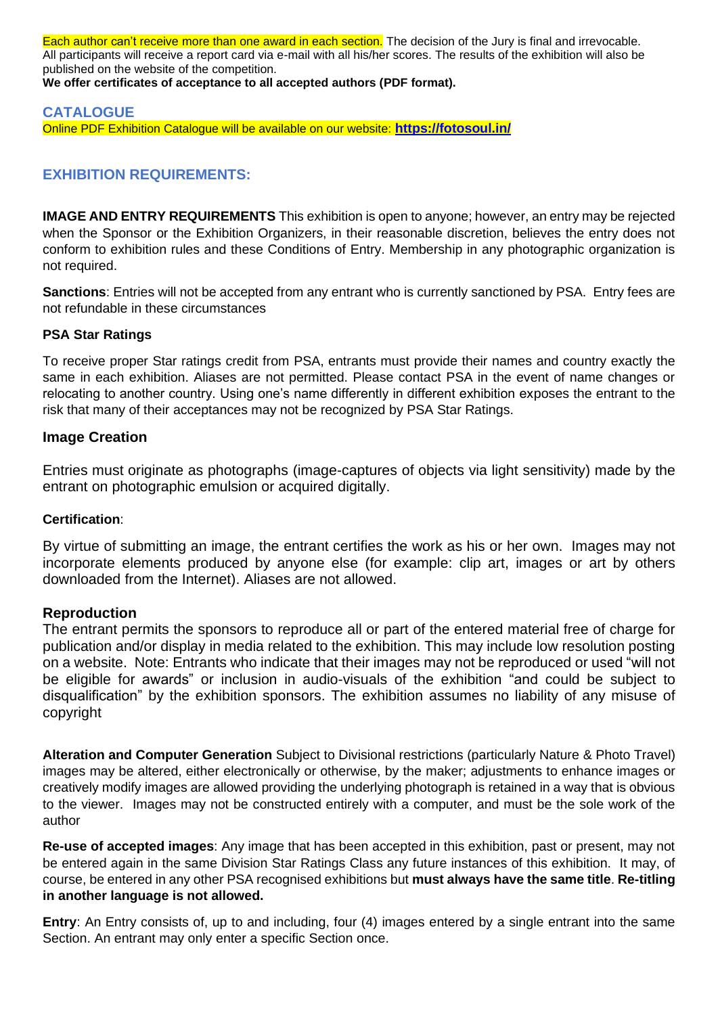Each author can't receive more than one award in each section. The decision of the Jury is final and irrevocable. All participants will receive a report card via e-mail with all his/her scores. The results of the exhibition will also be published on the website of the competition.

**We offer certificates of acceptance to all accepted authors (PDF format).**

# **CATALOGUE**

Online PDF Exhibition Catalogue will be available on our website: **<https://fotosoul.in/>**

# **EXHIBITION REQUIREMENTS:**

**IMAGE AND ENTRY REQUIREMENTS** This exhibition is open to anyone; however, an entry may be rejected when the Sponsor or the Exhibition Organizers, in their reasonable discretion, believes the entry does not conform to exhibition rules and these Conditions of Entry. Membership in any photographic organization is not required.

**Sanctions**: Entries will not be accepted from any entrant who is currently sanctioned by PSA. Entry fees are not refundable in these circumstances

#### **PSA Star Ratings**

To receive proper Star ratings credit from PSA, entrants must provide their names and country exactly the same in each exhibition. Aliases are not permitted. Please contact PSA in the event of name changes or relocating to another country. Using one's name differently in different exhibition exposes the entrant to the risk that many of their acceptances may not be recognized by PSA Star Ratings.

# **Image Creation**

Entries must originate as photographs (image-captures of objects via light sensitivity) made by the entrant on photographic emulsion or acquired digitally.

#### **Certification**:

By virtue of submitting an image, the entrant certifies the work as his or her own. Images may not incorporate elements produced by anyone else (for example: clip art, images or art by others downloaded from the Internet). Aliases are not allowed.

#### **Reproduction**

The entrant permits the sponsors to reproduce all or part of the entered material free of charge for publication and/or display in media related to the exhibition. This may include low resolution posting on a website. Note: Entrants who indicate that their images may not be reproduced or used "will not be eligible for awards" or inclusion in audio-visuals of the exhibition "and could be subject to disqualification" by the exhibition sponsors. The exhibition assumes no liability of any misuse of copyright

**Alteration and Computer Generation** Subject to Divisional restrictions (particularly Nature & Photo Travel) images may be altered, either electronically or otherwise, by the maker; adjustments to enhance images or creatively modify images are allowed providing the underlying photograph is retained in a way that is obvious to the viewer. Images may not be constructed entirely with a computer, and must be the sole work of the author

**Re-use of accepted images**: Any image that has been accepted in this exhibition, past or present, may not be entered again in the same Division Star Ratings Class any future instances of this exhibition. It may, of course, be entered in any other PSA recognised exhibitions but **must always have the same title**. **Re-titling in another language is not allowed.**

**Entry**: An Entry consists of, up to and including, four (4) images entered by a single entrant into the same Section. An entrant may only enter a specific Section once.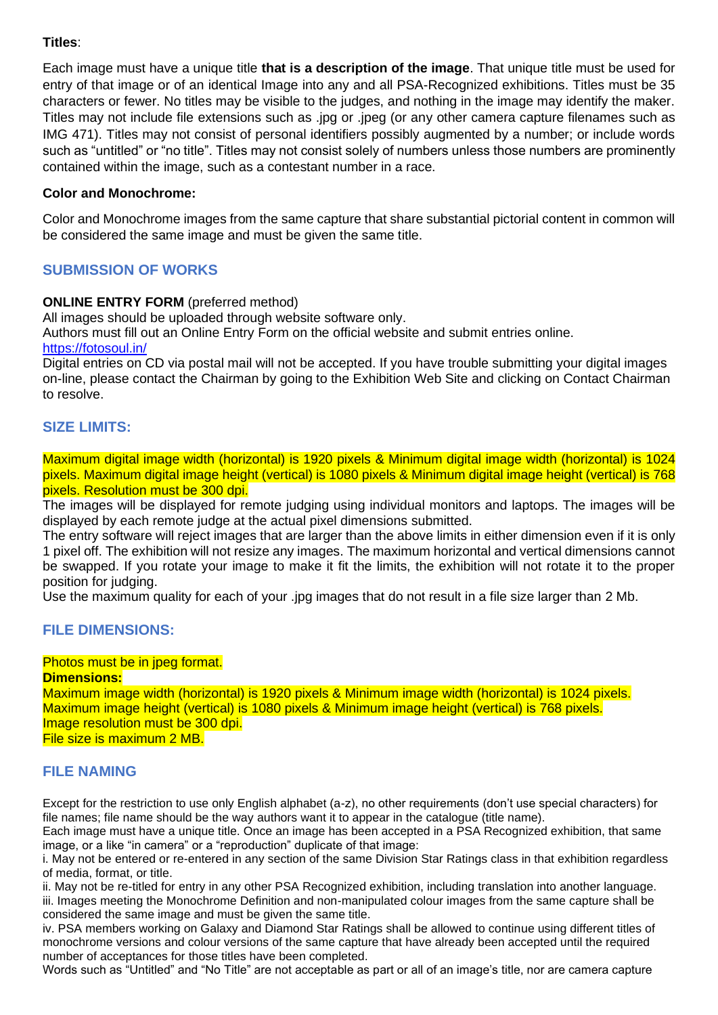#### **Titles**:

Each image must have a unique title **that is a description of the image**. That unique title must be used for entry of that image or of an identical Image into any and all PSA-Recognized exhibitions. Titles must be 35 characters or fewer. No titles may be visible to the judges, and nothing in the image may identify the maker. Titles may not include file extensions such as .jpg or .jpeg (or any other camera capture filenames such as IMG 471). Titles may not consist of personal identifiers possibly augmented by a number; or include words such as "untitled" or "no title". Titles may not consist solely of numbers unless those numbers are prominently contained within the image, such as a contestant number in a race.

#### **Color and Monochrome:**

Color and Monochrome images from the same capture that share substantial pictorial content in common will be considered the same image and must be given the same title.

# **SUBMISSION OF WORKS**

#### **ONLINE ENTRY FORM** (preferred method)

All images should be uploaded through website software only.

Authors must fill out an Online Entry Form on the official website and submit entries online.

<https://fotosoul.in/>

Digital entries on CD via postal mail will not be accepted. If you have trouble submitting your digital images on-line, please contact the Chairman by going to the Exhibition Web Site and clicking on Contact Chairman to resolve.

#### **SIZE LIMITS:**

Maximum digital image width (horizontal) is 1920 pixels & Minimum digital image width (horizontal) is 1024 pixels. Maximum digital image height (vertical) is 1080 pixels & Minimum digital image height (vertical) is 768 pixels. Resolution must be 300 dpi.

The images will be displayed for remote judging using individual monitors and laptops. The images will be displayed by each remote judge at the actual pixel dimensions submitted.

The entry software will reject images that are larger than the above limits in either dimension even if it is only 1 pixel off. The exhibition will not resize any images. The maximum horizontal and vertical dimensions cannot be swapped. If you rotate your image to make it fit the limits, the exhibition will not rotate it to the proper position for judging.

Use the maximum quality for each of your .jpg images that do not result in a file size larger than 2 Mb.

#### **FILE DIMENSIONS:**

#### Photos must be in jpeg format.

**Dimensions:** Maximum image width (horizontal) is 1920 pixels & Minimum image width (horizontal) is 1024 pixels. Maximum image height (vertical) is 1080 pixels & Minimum image height (vertical) is 768 pixels. Image resolution must be 300 dpi. File size is maximum 2 MB.

#### **FILE NAMING**

Except for the restriction to use only English alphabet (a-z), no other requirements (don't use special characters) for file names; file name should be the way authors want it to appear in the catalogue (title name).

Each image must have a unique title. Once an image has been accepted in a PSA Recognized exhibition, that same image, or a like "in camera" or a "reproduction" duplicate of that image:

i. May not be entered or re-entered in any section of the same Division Star Ratings class in that exhibition regardless of media, format, or title.

ii. May not be re-titled for entry in any other PSA Recognized exhibition, including translation into another language. iii. Images meeting the Monochrome Definition and non-manipulated colour images from the same capture shall be considered the same image and must be given the same title.

iv. PSA members working on Galaxy and Diamond Star Ratings shall be allowed to continue using different titles of monochrome versions and colour versions of the same capture that have already been accepted until the required number of acceptances for those titles have been completed.

Words such as "Untitled" and "No Title" are not acceptable as part or all of an image's title, nor are camera capture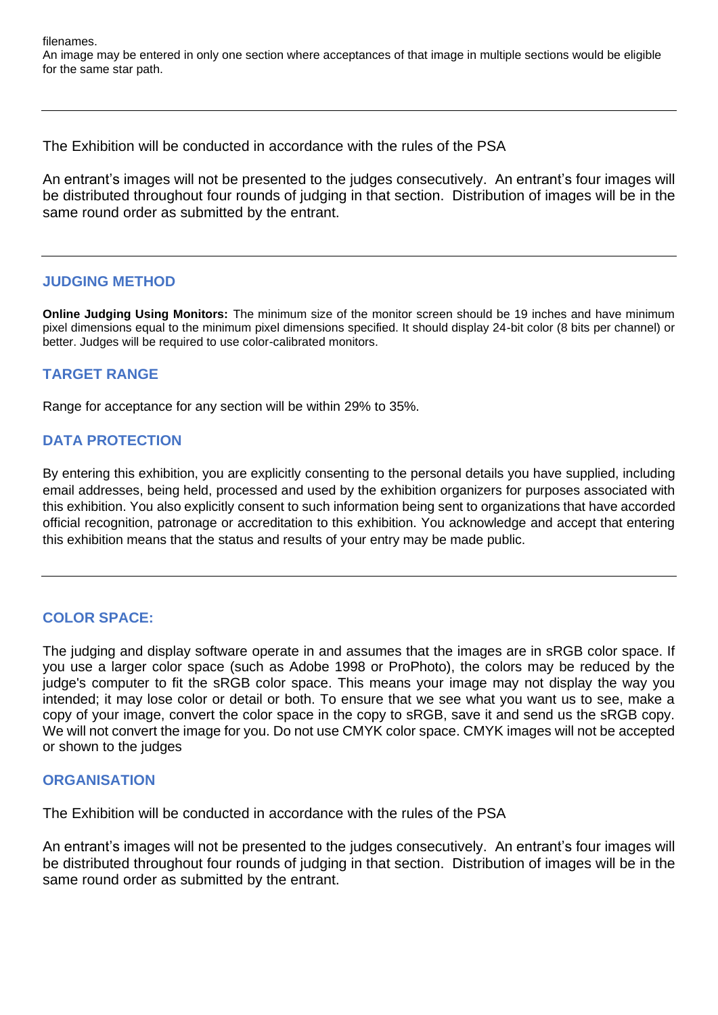filenames. An image may be entered in only one section where acceptances of that image in multiple sections would be eligible for the same star path.

The Exhibition will be conducted in accordance with the rules of the PSA

An entrant's images will not be presented to the judges consecutively. An entrant's four images will be distributed throughout four rounds of judging in that section. Distribution of images will be in the same round order as submitted by the entrant.

#### **JUDGING METHOD**

**Online Judging Using Monitors:** The minimum size of the monitor screen should be 19 inches and have minimum pixel dimensions equal to the minimum pixel dimensions specified. It should display 24-bit color (8 bits per channel) or better. Judges will be required to use color-calibrated monitors.

# **TARGET RANGE**

Range for acceptance for any section will be within 29% to 35%.

# **DATA PROTECTION**

By entering this exhibition, you are explicitly consenting to the personal details you have supplied, including email addresses, being held, processed and used by the exhibition organizers for purposes associated with this exhibition. You also explicitly consent to such information being sent to organizations that have accorded official recognition, patronage or accreditation to this exhibition. You acknowledge and accept that entering this exhibition means that the status and results of your entry may be made public.

#### **COLOR SPACE:**

The judging and display software operate in and assumes that the images are in sRGB color space. If you use a larger color space (such as Adobe 1998 or ProPhoto), the colors may be reduced by the judge's computer to fit the sRGB color space. This means your image may not display the way you intended; it may lose color or detail or both. To ensure that we see what you want us to see, make a copy of your image, convert the color space in the copy to sRGB, save it and send us the sRGB copy. We will not convert the image for you. Do not use CMYK color space. CMYK images will not be accepted or shown to the judges

#### **ORGANISATION**

The Exhibition will be conducted in accordance with the rules of the PSA

An entrant's images will not be presented to the judges consecutively. An entrant's four images will be distributed throughout four rounds of judging in that section. Distribution of images will be in the same round order as submitted by the entrant.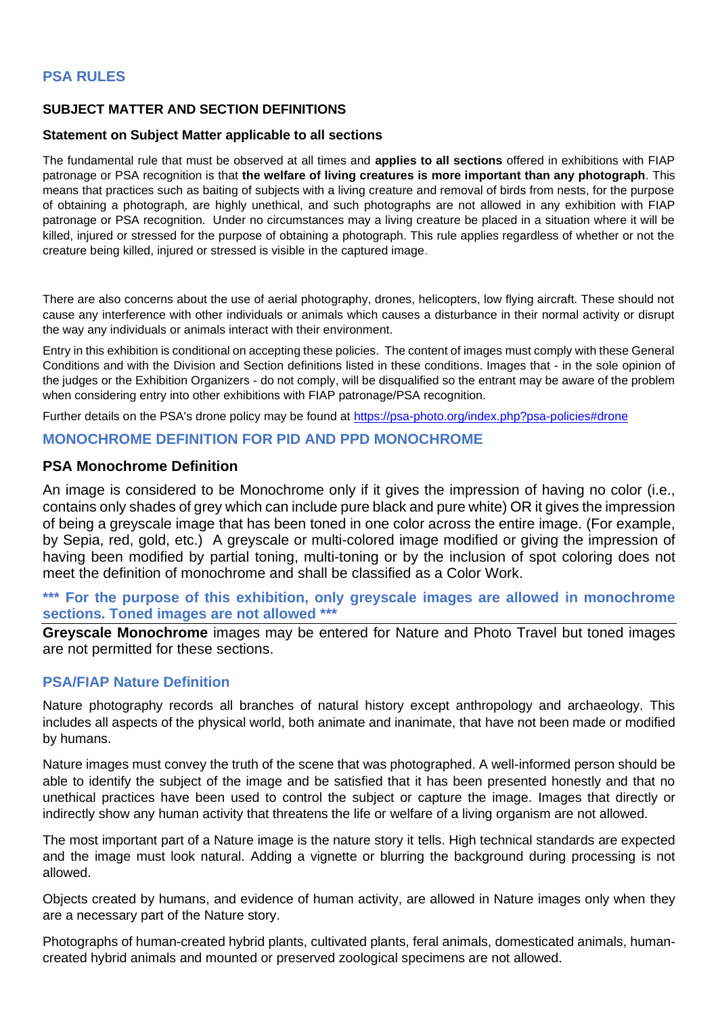# **PSA RULES**

#### **SUBJECT MATTER AND SECTION DEFINITIONS**

#### **Statement on Subject Matter applicable to all sections**

The fundamental rule that must be observed at all times and **applies to all sections** offered in exhibitions with FIAP patronage or PSA recognition is that **the welfare of living creatures is more important than any photograph**. This means that practices such as baiting of subjects with a living creature and removal of birds from nests, for the purpose of obtaining a photograph, are highly unethical, and such photographs are not allowed in any exhibition with FIAP patronage or PSA recognition. Under no circumstances may a living creature be placed in a situation where it will be killed, injured or stressed for the purpose of obtaining a photograph. This rule applies regardless of whether or not the creature being killed, injured or stressed is visible in the captured image.

There are also concerns about the use of aerial photography, drones, helicopters, low flying aircraft. These should not cause any interference with other individuals or animals which causes a disturbance in their normal activity or disrupt the way any individuals or animals interact with their environment.

Entry in this exhibition is conditional on accepting these policies. The content of images must comply with these General Conditions and with the Division and Section definitions listed in these conditions. Images that - in the sole opinion of the judges or the Exhibition Organizers - do not comply, will be disqualified so the entrant may be aware of the problem when considering entry into other exhibitions with FIAP patronage/PSA recognition.

Further details on the PSA's drone policy may be found at [https://psa-photo.org/index.php?psa-policies#drone](https://psa-photo.org/index.php?psa-policies%23drone)

#### **MONOCHROME DEFINITION FOR PID AND PPD MONOCHROME**

#### **PSA Monochrome Definition**

An image is considered to be Monochrome only if it gives the impression of having no color (i.e., contains only shades of grey which can include pure black and pure white) OR it gives the impression of being a greyscale image that has been toned in one color across the entire image. (For example, by Sepia, red, gold, etc.) A greyscale or multi-colored image modified or giving the impression of having been modified by partial toning, multi-toning or by the inclusion of spot coloring does not meet the definition of monochrome and shall be classified as a Color Work.

#### **\*\*\* For the purpose of this exhibition, only greyscale images are allowed in monochrome sections. Toned images are not allowed \*\*\***

**Greyscale Monochrome** images may be entered for Nature and Photo Travel but toned images are not permitted for these sections.

#### **PSA/FIAP Nature Definition**

Nature photography records all branches of natural history except anthropology and archaeology. This includes all aspects of the physical world, both animate and inanimate, that have not been made or modified by humans.

Nature images must convey the truth of the scene that was photographed. A well-informed person should be able to identify the subject of the image and be satisfied that it has been presented honestly and that no unethical practices have been used to control the subject or capture the image. Images that directly or indirectly show any human activity that threatens the life or welfare of a living organism are not allowed.

The most important part of a Nature image is the nature story it tells. High technical standards are expected and the image must look natural. Adding a vignette or blurring the background during processing is not allowed.

Objects created by humans, and evidence of human activity, are allowed in Nature images only when they are a necessary part of the Nature story.

Photographs of human-created hybrid plants, cultivated plants, feral animals, domesticated animals, humancreated hybrid animals and mounted or preserved zoological specimens are not allowed.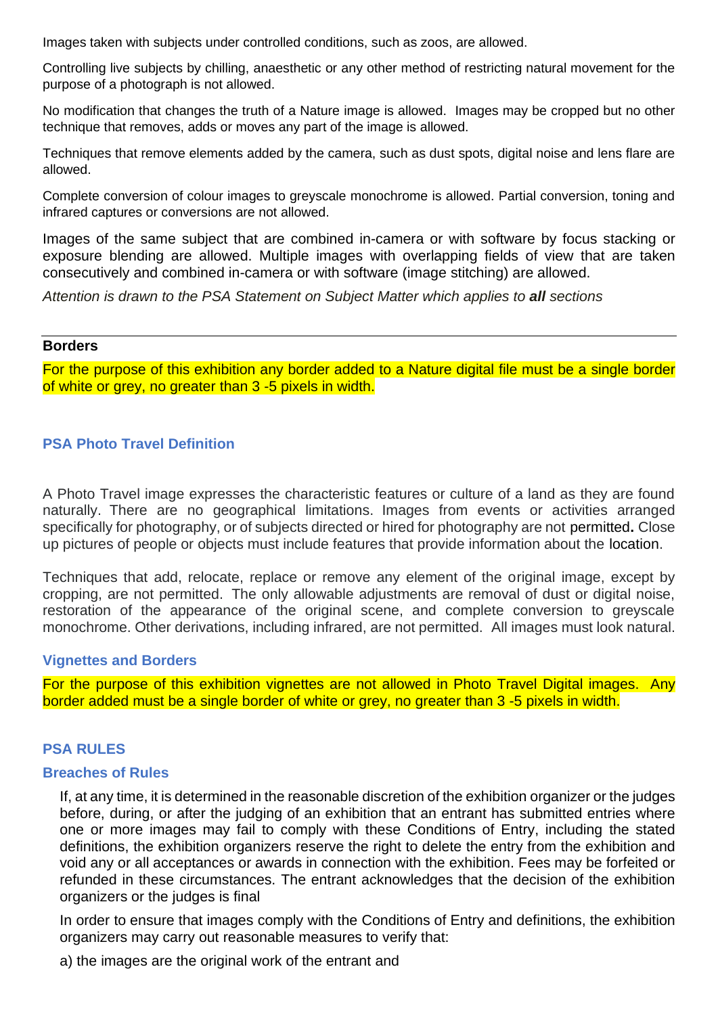Images taken with subjects under controlled conditions, such as zoos, are allowed.

Controlling live subjects by chilling, anaesthetic or any other method of restricting natural movement for the purpose of a photograph is not allowed.

No modification that changes the truth of a Nature image is allowed. Images may be cropped but no other technique that removes, adds or moves any part of the image is allowed.

Techniques that remove elements added by the camera, such as dust spots, digital noise and lens flare are allowed.

Complete conversion of colour images to greyscale monochrome is allowed. Partial conversion, toning and infrared captures or conversions are not allowed.

Images of the same subject that are combined in-camera or with software by focus stacking or exposure blending are allowed. Multiple images with overlapping fields of view that are taken consecutively and combined in-camera or with software (image stitching) are allowed.

*Attention is drawn to the PSA Statement on Subject Matter which applies to all sections*

#### **Borders**

For the purpose of this exhibition any border added to a Nature digital file must be a single border of white or grey, no greater than 3 -5 pixels in width.

#### **PSA Photo Travel Definition**

A Photo Travel image expresses the characteristic features or culture of a land as they are found naturally. There are no geographical limitations. Images from events or activities arranged specifically for photography, or of subjects directed or hired for photography are not permitted**.** Close up pictures of people or objects must include features that provide information about the location.

Techniques that add, relocate, replace or remove any element of the original image, except by cropping, are not permitted. The only allowable adjustments are removal of dust or digital noise, restoration of the appearance of the original scene, and complete conversion to greyscale monochrome. Other derivations, including infrared, are not permitted. All images must look natural.

#### **Vignettes and Borders**

For the purpose of this exhibition vignettes are not allowed in Photo Travel Digital images. Any border added must be a single border of white or grey, no greater than 3 -5 pixels in width.

#### **PSA RULES**

#### **Breaches of Rules**

If, at any time, it is determined in the reasonable discretion of the exhibition organizer or the judges before, during, or after the judging of an exhibition that an entrant has submitted entries where one or more images may fail to comply with these Conditions of Entry, including the stated definitions, the exhibition organizers reserve the right to delete the entry from the exhibition and void any or all acceptances or awards in connection with the exhibition. Fees may be forfeited or refunded in these circumstances. The entrant acknowledges that the decision of the exhibition organizers or the judges is final

In order to ensure that images comply with the Conditions of Entry and definitions, the exhibition organizers may carry out reasonable measures to verify that:

a) the images are the original work of the entrant and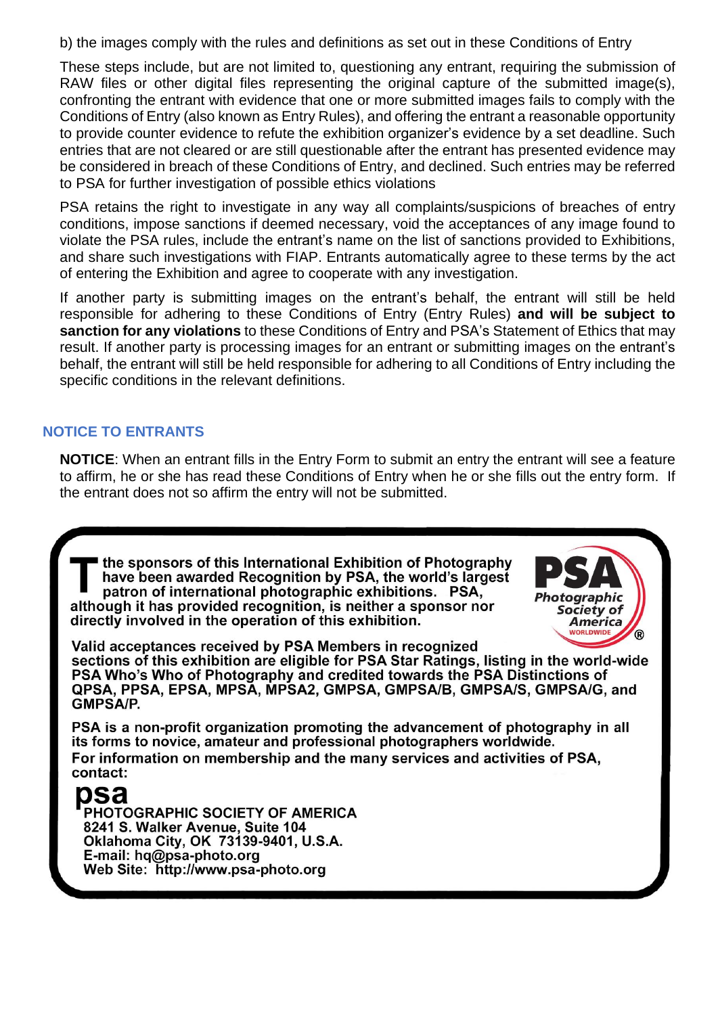b) the images comply with the rules and definitions as set out in these Conditions of Entry

These steps include, but are not limited to, questioning any entrant, requiring the submission of RAW files or other digital files representing the original capture of the submitted image(s), confronting the entrant with evidence that one or more submitted images fails to comply with the Conditions of Entry (also known as Entry Rules), and offering the entrant a reasonable opportunity to provide counter evidence to refute the exhibition organizer's evidence by a set deadline. Such entries that are not cleared or are still questionable after the entrant has presented evidence may be considered in breach of these Conditions of Entry, and declined. Such entries may be referred to PSA for further investigation of possible ethics violations

PSA retains the right to investigate in any way all complaints/suspicions of breaches of entry conditions, impose sanctions if deemed necessary, void the acceptances of any image found to violate the PSA rules, include the entrant's name on the list of sanctions provided to Exhibitions, and share such investigations with FIAP. Entrants automatically agree to these terms by the act of entering the Exhibition and agree to cooperate with any investigation.

If another party is submitting images on the entrant's behalf, the entrant will still be held responsible for adhering to these Conditions of Entry (Entry Rules) **and will be subject to sanction for any violations** to these Conditions of Entry and PSA's Statement of Ethics that may result. If another party is processing images for an entrant or submitting images on the entrant's behalf, the entrant will still be held responsible for adhering to all Conditions of Entry including the specific conditions in the relevant definitions.

# **NOTICE TO ENTRANTS**

**NOTICE**: When an entrant fills in the Entry Form to submit an entry the entrant will see a feature to affirm, he or she has read these Conditions of Entry when he or she fills out the entry form. If the entrant does not so affirm the entry will not be submitted.

the sponsors of this International Exhibition of Photography have been awarded Recognition by PSA, the world's largest patron of international photographic exhibitions. PSA. although it has provided recognition, is neither a sponsor nor directly involved in the operation of this exhibition.



Valid acceptances received by PSA Members in recognized sections of this exhibition are eligible for PSA Star Ratings, listing in the world-wide PSA Who's Who of Photography and credited towards the PSA Distinctions of QPSA, PPSA, EPSA, MPSA, MPSA2, GMPSA, GMPSA/B, GMPSA/S, GMPSA/G, and **GMPSA/P.** 

PSA is a non-profit organization promoting the advancement of photography in all its forms to novice, amateur and professional photographers worldwide. For information on membership and the many services and activities of PSA, contact:

# psa

PHOTOGRAPHIC SOCIETY OF AMERICA 8241 S. Walker Avenue, Suite 104 Oklahoma City, OK 73139-9401, U.S.A. E-mail: hg@psa-photo.org Web Site: http://www.psa-photo.org